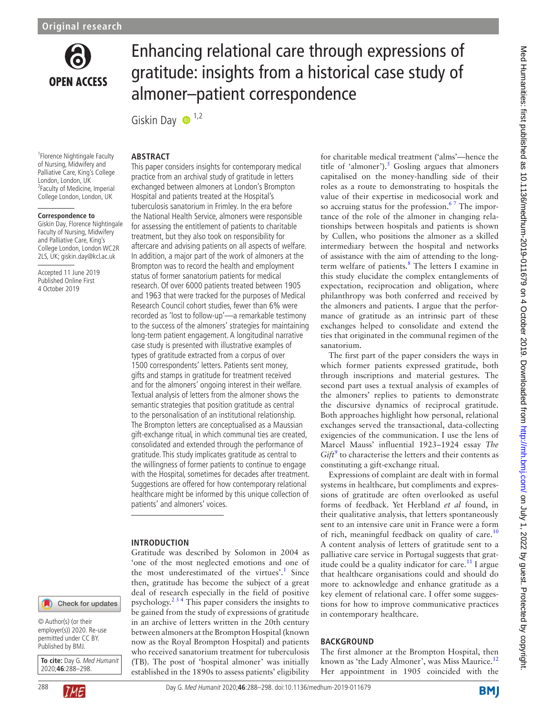

# Enhancing relational care through expressions of gratitude: insights from a historical case study of almoner–patient correspondence

Giskin Day  $\bullet$ <sup>1,2</sup>

#### **Abstract**

1 Florence Nightingale Faculty of Nursing, Midwifery and Palliative Care, King's College London, London, UK 2 Faculty of Medicine, Imperial College London, London, UK

#### **Correspondence to**

Giskin Day, Florence Nightingale Faculty of Nursing, Midwifery and Palliative Care, King's College London, London WC2R 2LS, UK; giskin.day@kcl.ac.uk

Accepted 11 June 2019 Published Online First 4 October 2019

# Check for updates

© Author(s) (or their employer(s)) 2020. Re-use permitted under CC BY. Published by BMJ.

**To cite:** Day G. Med Humanit 2020;**46**:288–298.



This paper considers insights for contemporary medical practice from an archival study of gratitude in letters exchanged between almoners at London's Brompton Hospital and patients treated at the Hospital's tuberculosis sanatorium in Frimley. In the era before the National Health Service, almoners were responsible for assessing the entitlement of patients to charitable treatment, but they also took on responsibility for aftercare and advising patients on all aspects of welfare. In addition, a major part of the work of almoners at the Brompton was to record the health and employment status of former sanatorium patients for medical research. Of over 6000 patients treated between 1905 and 1963 that were tracked for the purposes of Medical Research Council cohort studies, fewer than 6% were recorded as 'lost to follow-up'—a remarkable testimony to the success of the almoners' strategies for maintaining long-term patient engagement. A longitudinal narrative case study is presented with illustrative examples of types of gratitude extracted from a corpus of over 1500 correspondents' letters. Patients sent money, gifts and stamps in gratitude for treatment received and for the almoners' ongoing interest in their welfare. Textual analysis of letters from the almoner shows the semantic strategies that position gratitude as central to the personalisation of an institutional relationship. The Brompton letters are conceptualised as a Maussian gift-exchange ritual, in which communal ties are created, consolidated and extended through the performance of gratitude. This study implicates gratitude as central to the willingness of former patients to continue to engage with the Hospital, sometimes for decades after treatment. Suggestions are offered for how contemporary relational healthcare might be informed by this unique collection of patients' and almoners' voices.

#### **Introduction**

Gratitude was described by Solomon in 2004 as 'one of the most neglected emotions and one of the most underestimated of the virtues'.<sup>1</sup> Since then, gratitude has become the subject of a great deal of research especially in the field of positive psychology. $2^{3/4}$  This paper considers the insights to be gained from the study of expressions of gratitude in an archive of letters written in the 20th century between almoners at the Brompton Hospital (known now as the Royal Brompton Hospital) and patients who received sanatorium treatment for tuberculosis (TB). The post of 'hospital almoner' was initially established in the 1890s to assess patients' eligibility

for charitable medical treatment ('alms'—hence the title of 'almoner').<sup>5</sup> Gosling argues that almoners capitalised on the money-handling side of their roles as a route to demonstrating to hospitals the value of their expertise in medicosocial work and so accruing status for the profession.<sup>67</sup> The importance of the role of the almoner in changing relationships between hospitals and patients is shown by Cullen, who positions the almoner as a skilled intermediary between the hospital and networks of assistance with the aim of attending to the longterm welfare of patients.<sup>8</sup> The letters I examine in this study elucidate the complex entanglements of expectation, reciprocation and obligation, where philanthropy was both conferred and received by the almoners and patients. I argue that the performance of gratitude as an intrinsic part of these exchanges helped to consolidate and extend the ties that originated in the communal regimen of the sanatorium.

The first part of the paper considers the ways in which former patients expressed gratitude, both through inscriptions and material gestures. The second part uses a textual analysis of examples of the almoners' replies to patients to demonstrate the discursive dynamics of reciprocal gratitude. Both approaches highlight how personal, relational exchanges served the transactional, data-collecting exigencies of the communication. I use the lens of Marcel Mauss' influential 1923–1924 essay *The*   $Gift<sup>9</sup>$  $Gift<sup>9</sup>$  $Gift<sup>9</sup>$  to characterise the letters and their contents as constituting a gift-exchange ritual.

Expressions of complaint are dealt with in formal systems in healthcare, but compliments and expressions of gratitude are often overlooked as useful forms of feedback. Yet Herbland *et al* found, in their qualitative analysis, that letters spontaneously sent to an intensive care unit in France were a form of rich, meaningful feedback on quality of care.<sup>[10](#page-8-1)</sup> A content analysis of letters of gratitude sent to a palliative care service in Portugal suggests that gratitude could be a quality indicator for care. $11$  I argue that healthcare organisations could and should do more to acknowledge and enhance gratitude as a key element of relational care. I offer some suggestions for how to improve communicative practices in contemporary healthcare.

#### **BACKGROUND**

The first almoner at the Brompton Hospital, then known as 'the Lady Almoner', was Miss Maurice.<sup>[12](#page-8-3)</sup> Her appointment in 1905 coincided with the

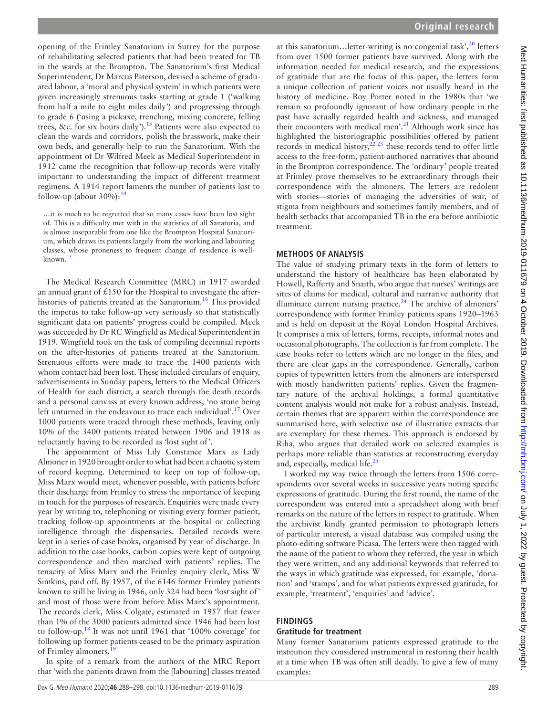opening of the Frimley Sanatorium in Surrey for the purpose of rehabilitating selected patients that had been treated for TB in the wards at the Brompton. The Sanatorium's first Medical Superintendent, Dr Marcus Paterson, devised a scheme of graduated labour, a 'moral and physical system' in which patients were given increasingly strenuous tasks starting at grade 1 ('walking from half a mile to eight miles daily') and progressing through to grade 6 ('using a pickaxe, trenching, mixing concrete, felling trees, &c. for six hours daily').<sup>13</sup> Patients were also expected to clean the wards and corridors, polish the brasswork, make their own beds, and generally help to run the Sanatorium. With the appointment of Dr Wilfred Meek as Medical Superintendent in 1912 came the recognition that follow-up records were vitally important to understanding the impact of different treatment regimens. A 1914 report laments the number of patients lost to follow-up (about  $30\%$ ):<sup>[14](#page-8-5)</sup>

…it is much to be regretted that so many cases have been lost sight of. This is a difficulty met with in the statistics of all Sanatoria, and is almost inseparable from one like the Brompton Hospital Sanatorium, which draws its patients largely from the working and labouring classes, whose proneness to frequent change of residence is well-known.<sup>[15](#page-8-6)</sup>

The Medical Research Committee (MRC) in 1917 awarded an annual grant of  $£150$  for the Hospital to investigate the afterhistories of patients treated at the Sanatorium.<sup>16</sup> This provided the impetus to take follow-up very seriously so that statistically significant data on patients' progress could be compiled. Meek was succeeded by Dr RC Wingfield as Medical Superintendent in 1919. Wingfield took on the task of compiling decennial reports on the after-histories of patients treated at the Sanatorium. Strenuous efforts were made to trace the 1400 patients with whom contact had been lost. These included circulars of enquiry, advertisements in Sunday papers, letters to the Medical Officers of Health for each district, a search through the death records and a personal canvass at every known address, 'no stone being left unturned in the endeavour to trace each individual'.<sup>[17](#page-8-8)</sup> Over 1000 patients were traced through these methods, leaving only 10% of the 3400 patients treated between 1906 and 1918 as reluctantly having to be recorded as 'lost sight of'.

The appointment of Miss Lily Constance Marx as Lady Almoner in 1920 brought order to what had been a chaotic system of record keeping. Determined to keep on top of follow-up, Miss Marx would meet, whenever possible, with patients before their discharge from Frimley to stress the importance of keeping in touch for the purposes of research. Enquiries were made every year by writing to, telephoning or visiting every former patient, tracking follow-up appointments at the hospital or collecting intelligence through the dispensaries. Detailed records were kept in a series of case books, organised by year of discharge. In addition to the case books, carbon copies were kept of outgoing correspondence and then matched with patients' replies. The tenacity of Miss Marx and the Frimley enquiry clerk, Miss W Simkins, paid off. By 1957, of the 6146 former Frimley patients known to still be living in 1946, only 324 had been 'lost sight of' and most of those were from before Miss Marx's appointment. The records clerk, Miss Colgate, estimated in 1957 that fewer than 1% of the 3000 patients admitted since 1946 had been lost to follow-up.[18](#page-8-9) It was not until 1961 that '100% coverage' for following up former patients ceased to be the primary aspiration of Frimley almoners.<sup>1</sup>

In spite of a remark from the authors of the MRC Report that 'with the patients drawn from the [labouring] classes treated

at this sanatorium... letter-writing is no congenial task', $^{20}$  letters from over 1500 former patients have survived. Along with the information needed for medical research, and the expressions of gratitude that are the focus of this paper, the letters form a unique collection of patient voices not usually heard in the history of medicine. Roy Porter noted in the 1980s that 'we remain so profoundly ignorant of how ordinary people in the past have actually regarded health and sickness, and managed their encounters with medical men'.<sup>[21](#page-8-12)</sup> Although work since has highlighted the historiographic possibilities offered by patient records in medical history, $^{22}$   $^{23}$  these records tend to offer little access to the free-form, patient-authored narratives that abound in the Brompton correspondence. The 'ordinary' people treated at Frimley prove themselves to be extraordinary through their correspondence with the almoners. The letters are redolent with stories—stories of managing the adversities of war, of stigma from neighbours and sometimes family members, and of health setbacks that accompanied TB in the era before antibiotic treatment.

#### **Methods of analysis**

The value of studying primary texts in the form of letters to understand the history of healthcare has been elaborated by Howell, Rafferty and Snaith, who argue that nurses' writings are sites of claims for medical, cultural and narrative authority that illuminate current nursing practice. $24$  The archive of almoners' correspondence with former Frimley patients spans 1920–1963 and is held on deposit at the Royal London Hospital Archives. It comprises a mix of letters, forms, receipts, informal notes and occasional photographs. The collection is far from complete. The case books refer to letters which are no longer in the files, and there are clear gaps in the correspondence. Generally, carbon copies of typewritten letters from the almoners are interspersed with mostly handwritten patients' replies. Given the fragmentary nature of the archival holdings, a formal quantitative content analysis would not make for a robust analysis. Instead, certain themes that are apparent within the correspondence are summarised here, with selective use of illustrative extracts that are exemplary for these themes. This approach is endorsed by Riha, who argues that detailed work on selected examples is perhaps more reliable than statistics at reconstructing everyday and, especially, medical life. $^{25}$  $^{25}$  $^{25}$ 

I worked my way twice through the letters from 1506 correspondents over several weeks in successive years noting specific expressions of gratitude. During the first round, the name of the correspondent was entered into a spreadsheet along with brief remarks on the nature of the letters in respect to gratitude. When the archivist kindly granted permission to photograph letters of particular interest, a visual database was compiled using the photo-editing software Picasa. The letters were then tagged with the name of the patient to whom they referred, the year in which they were written, and any additional keywords that referred to the ways in which gratitude was expressed, for example, 'donation' and 'stamps', and for what patients expressed gratitude, for example, 'treatment', 'enquiries' and 'advice'.

#### **Findings**

#### **Gratitude for treatment**

Many former Sanatorium patients expressed gratitude to the institution they considered instrumental in restoring their health at a time when TB was often still deadly. To give a few of many examples: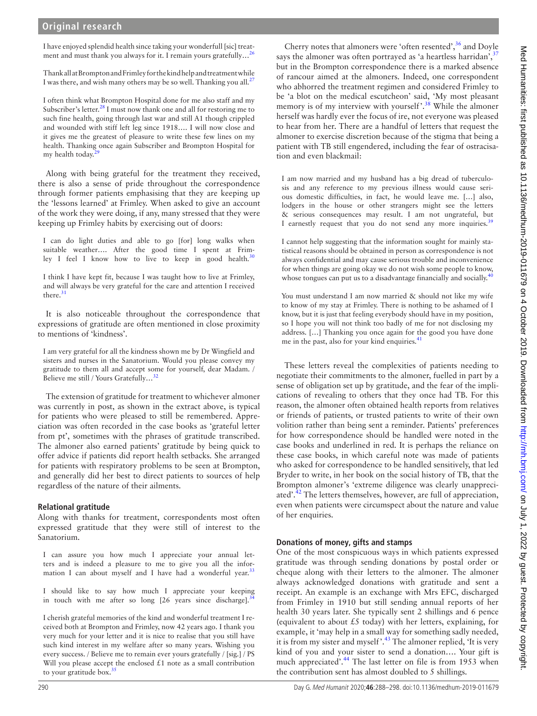I have enjoyed splendid health since taking your wonderfull [sic] treat-ment and must thank you always for it. I remain yours gratefully...<sup>[26](#page-8-16)</sup>

Thank all at Brompton and Frimley for the kind help and treatment while I was there, and wish many others may be so well. Thanking you all.<sup>[27](#page-8-17)</sup>

I often think what Brompton Hospital done for me also staff and my Subscriber's letter. $^{28}$  I must now thank one and all for restoring me to such fine health, going through last war and still A1 though crippled and wounded with stiff left leg since 1918…. I will now close and it gives me the greatest of pleasure to write these few lines on my health. Thanking once again Subscriber and Brompton Hospital for my health today. $\frac{2}{3}$ 

Along with being grateful for the treatment they received, there is also a sense of pride throughout the correspondence through former patients emphasising that they are keeping up the 'lessons learned' at Frimley. When asked to give an account of the work they were doing, if any, many stressed that they were keeping up Frimley habits by exercising out of doors:

I can do light duties and able to go [for] long walks when suitable weather…. After the good time I spent at Frimley I feel I know how to live to keep in good health. $30$ 

I think I have kept fit, because I was taught how to live at Frimley, and will always be very grateful for the care and attention I received there.<sup>[31](#page-8-21)</sup>

It is also noticeable throughout the correspondence that expressions of gratitude are often mentioned in close proximity to mentions of 'kindness'.

I am very grateful for all the kindness shown me by Dr Wingfield and sisters and nurses in the Sanatorium. Would you please convey my gratitude to them all and accept some for yourself, dear Madam. / Believe me still / Yours Gratefully...<sup>[32](#page-8-22)</sup>

The extension of gratitude for treatment to whichever almoner was currently in post, as shown in the extract above, is typical for patients who were pleased to still be remembered. Appreciation was often recorded in the case books as 'grateful letter from pt', sometimes with the phrases of gratitude transcribed. The almoner also earned patients' gratitude by being quick to offer advice if patients did report health setbacks. She arranged for patients with respiratory problems to be seen at Brompton, and generally did her best to direct patients to sources of help regardless of the nature of their ailments.

# **Relational gratitude**

Along with thanks for treatment, correspondents most often expressed gratitude that they were still of interest to the Sanatorium.

I can assure you how much I appreciate your annual letters and is indeed a pleasure to me to give you all the information I can about myself and I have had a wonderful year.<sup>3</sup>

I should like to say how much I appreciate your keeping in touch with me after so long  $[26$  years since discharge].<sup>3</sup>

I cherish grateful memories of the kind and wonderful treatment I received both at Brompton and Frimley, now 42 years ago. I thank you very much for your letter and it is nice to realise that you still have such kind interest in my welfare after so many years. Wishing you every success. / Believe me to remain ever yours gratefully / [sig.] / PS Will you please accept the enclosed  $£1$  note as a small contribution to your gratitude box.<sup>[35](#page-8-25)</sup>

Cherry notes that almoners were 'often resented',  $36$  and Doyle says the almoner was often portrayed as 'a heartless harridan', $\frac{3}{2}$ but in the Brompton correspondence there is a marked absence of rancour aimed at the almoners. Indeed, one correspondent who abhorred the treatment regimen and considered Frimley to be 'a blot on the medical escutcheon' said, 'My most pleasant memory is of my interview with yourself'.<sup>38</sup> While the almoner herself was hardly ever the focus of ire, not everyone was pleased to hear from her. There are a handful of letters that request the almoner to exercise discretion because of the stigma that being a patient with TB still engendered, including the fear of ostracisation and even blackmail:

I am now married and my husband has a big dread of tuberculosis and any reference to my previous illness would cause serious domestic difficulties, in fact, he would leave me. […] also, lodgers in the house or other strangers might see the letters & serious consequences may result. I am not ungrateful, but I earnestly request that you do not send any more inquiries.<sup>[39](#page-8-29)</sup>

I cannot help suggesting that the information sought for mainly statistical reasons should be obtained in person as correspondence is not always confidential and may cause serious trouble and inconvenience for when things are going okay we do not wish some people to know, whose tongues can put us to a disadvantage financially and socially.<sup>[40](#page-8-30)</sup>

You must understand I am now married & should not like my wife to know of my stay at Frimley. There is nothing to be ashamed of I know, but it is just that feeling everybody should have in my position, so I hope you will not think too badly of me for not disclosing my address. […] Thanking you once again for the good you have done me in the past, also for your kind enquiries.<sup>41</sup>

These letters reveal the complexities of patients needing to negotiate their commitments to the almoner, fuelled in part by a sense of obligation set up by gratitude, and the fear of the implications of revealing to others that they once had TB. For this reason, the almoner often obtained health reports from relatives or friends of patients, or trusted patients to write of their own volition rather than being sent a reminder. Patients' preferences for how correspondence should be handled were noted in the case books and underlined in red. It is perhaps the reliance on these case books, in which careful note was made of patients who asked for correspondence to be handled sensitively, that led Bryder to write, in her book on the social history of TB, that the Brompton almoner's 'extreme diligence was clearly unappreciated'. $^{42}$  The letters themselves, however, are full of appreciation, even when patients were circumspect about the nature and value of her enquiries.

# **Donations of money, gifts and stamps**

One of the most conspicuous ways in which patients expressed gratitude was through sending donations by postal order or cheque along with their letters to the almoner. The almoner always acknowledged donations with gratitude and sent a receipt. An example is an exchange with Mrs EFC, discharged from Frimley in 1910 but still sending annual reports of her health 30 years later. She typically sent 2 shillings and 6 pence (equivalent to about  $£5$  today) with her letters, explaining, for example, it 'may help in a small way for something sadly needed, it is from my sister and myself $\cdot$ <sup>[43](#page-8-33)</sup>. The almoner replied, 'It is very kind of you and your sister to send a donation…. Your gift is much appreciated'.<sup>44</sup> The last letter on file is from 1953 when the contribution sent has almost doubled to 5 shillings.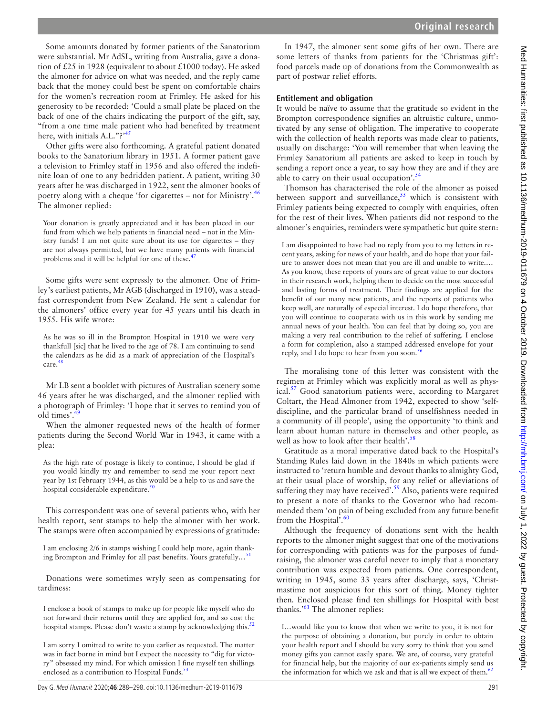Some amounts donated by former patients of the Sanatorium were substantial. Mr AdSL, writing from Australia, gave a donation of £25 in 1928 (equivalent to about £1000 today). He asked the almoner for advice on what was needed, and the reply came back that the money could best be spent on comfortable chairs for the women's recreation room at Frimley. He asked for his generosity to be recorded: 'Could a small plate be placed on the back of one of the chairs indicating the purport of the gift, say, "from a one time male patient who had benefited by treatment here, with initials A.L."?'<sup>[45](#page-8-35)</sup>

Other gifts were also forthcoming. A grateful patient donated books to the Sanatorium library in 1951. A former patient gave a television to Frimley staff in 1956 and also offered the indefinite loan of one to any bedridden patient. A patient, writing 30 years after he was discharged in 1922, sent the almoner books of poetry along with a cheque 'for cigarettes – not for Ministry'.[46](#page-8-36) The almoner replied:

Your donation is greatly appreciated and it has been placed in our fund from which we help patients in financial need – not in the Ministry funds! I am not quite sure about its use for cigarettes – they are not always permitted, but we have many patients with financial problems and it will be helpful for one of these.<sup>[47](#page-8-37)</sup>

Some gifts were sent expressly to the almoner. One of Frimley's earliest patients, Mr AGB (discharged in 1910), was a steadfast correspondent from New Zealand. He sent a calendar for the almoners' office every year for 45 years until his death in 1955. His wife wrote:

As he was so ill in the Brompton Hospital in 1910 we were very thankfull [sic] that he lived to the age of 78. I am continuing to send the calendars as he did as a mark of appreciation of the Hospital's care.<sup>48</sup>

Mr LB sent a booklet with pictures of Australian scenery some 46 years after he was discharged, and the almoner replied with a photograph of Frimley: 'I hope that it serves to remind you of old times'.<sup>4</sup>

When the almoner requested news of the health of former patients during the Second World War in 1943, it came with a plea:

As the high rate of postage is likely to continue, I should be glad if you would kindly try and remember to send me your report next year by 1st February 1944, as this would be a help to us and save the hospital considerable expenditure.<sup>[50](#page-8-40)</sup>

This correspondent was one of several patients who, with her health report, sent stamps to help the almoner with her work. The stamps were often accompanied by expressions of gratitude:

I am enclosing 2/6 in stamps wishing I could help more, again thanking Brompton and Frimley for all past benefits. Yours gratefully*…*[51](#page-8-41)

Donations were sometimes wryly seen as compensating for tardiness:

I enclose a book of stamps to make up for people like myself who do not forward their returns until they are applied for, and so cost the hospital stamps. Please don't waste a stamp by acknowledging this.<sup>[52](#page-8-42)</sup>

I am sorry I omitted to write to you earlier as requested. The matter was in fact borne in mind but I expect the necessity to "dig for victory" obsessed my mind. For which omission I fine myself ten shillings enclosed as a contribution to Hospital Funds.<sup>53</sup>

In 1947, the almoner sent some gifts of her own. There are some letters of thanks from patients for the 'Christmas gift': food parcels made up of donations from the Commonwealth as part of postwar relief efforts.

**Entitlement and obligation**

It would be naïve to assume that the gratitude so evident in the Brompton correspondence signifies an altruistic culture, unmotivated by any sense of obligation. The imperative to cooperate with the collection of health reports was made clear to patients, usually on discharge: 'You will remember that when leaving the Frimley Sanatorium all patients are asked to keep in touch by sending a report once a year, to say how they are and if they are able to carry on their usual occupation'.<sup>[54](#page-8-44)</sup>

Thomson has characterised the role of the almoner as poised between support and surveillance,  $55$  which is consistent with Frimley patients being expected to comply with enquiries, often for the rest of their lives. When patients did not respond to the almoner's enquiries, reminders were sympathetic but quite stern:

I am disappointed to have had no reply from you to my letters in recent years, asking for news of your health, and do hope that your failure to answer does not mean that you are ill and unable to write.… As you know, these reports of yours are of great value to our doctors in their research work, helping them to decide on the most successful and lasting forms of treatment. Their findings are applied for the benefit of our many new patients, and the reports of patients who keep well, are naturally of especial interest. I do hope therefore, that you will continue to cooperate with us in this work by sending me annual news of your health. You can feel that by doing so, you are making a very real contribution to the relief of suffering. I enclose a form for completion, also a stamped addressed envelope for your reply, and I do hope to hear from you soon.<sup>5</sup>

The moralising tone of this letter was consistent with the regimen at Frimley which was explicitly moral as well as physical.<sup>57</sup> Good sanatorium patients were, according to Margaret Coltart, the Head Almoner from 1942, expected to show 'selfdiscipline, and the particular brand of unselfishness needed in a community of ill people', using the opportunity 'to think and learn about human nature in themselves and other people, as well as how to look after their health'.<sup>[58](#page-8-48)</sup>

Gratitude as a moral imperative dated back to the Hospital's Standing Rules laid down in the 1840s in which patients were instructed to 'return humble and devout thanks to almighty God, at their usual place of worship, for any relief or alleviations of suffering they may have received'.<sup>59</sup> Also, patients were required to present a note of thanks to the Governor who had recommended them 'on pain of being excluded from any future benefit from the Hospital'. $60$ 

Although the frequency of donations sent with the health reports to the almoner might suggest that one of the motivations for corresponding with patients was for the purposes of fundraising, the almoner was careful never to imply that a monetary contribution was expected from patients. One correspondent, writing in 1945, some 33 years after discharge, says, 'Christmastime not auspicious for this sort of thing. Money tighter then. Enclosed please find ten shillings for Hospital with best thanks.'<sup>61</sup> The almoner replies:

I…would like you to know that when we write to you, it is not for the purpose of obtaining a donation, but purely in order to obtain your health report and I should be very sorry to think that you send money gifts you cannot easily spare. We are, of course, very grateful for financial help, but the majority of our ex-patients simply send us the information for which we ask and that is all we expect of them. $62$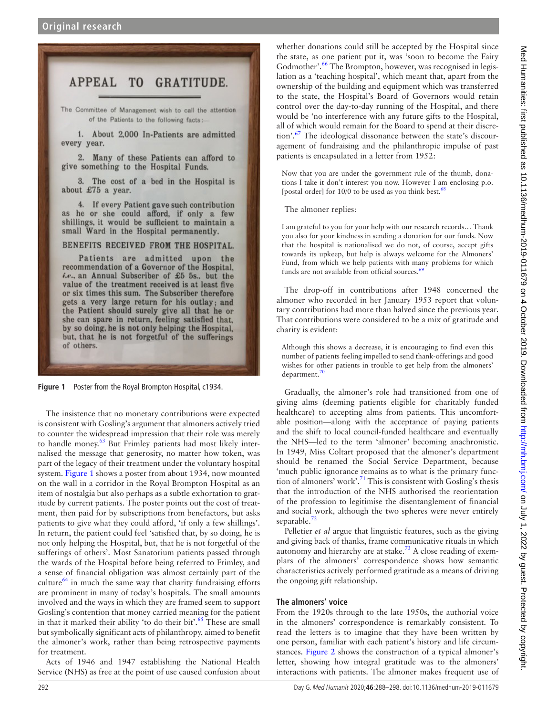#### **APPEAL** T<sub>0</sub> **GRATITUDE.**

The Committee of Management wish to call the attention of the Patients to the following facts:

1. About 2,000 In-Patients are admitted every year.

2. Many of these Patients can afford to give something to the Hospital Funds.

3. The cost of a bed in the Hospital is about £75 a year.

4. If every Patient gave such contribution as he or she could afford, if only a few shillings, it would be sufficient to maintain a small Ward in the Hospital permanently.

#### BENEFITS RECEIVED FROM THE HOSPITAL.

Patients are admitted upon the recommendation of a Governor of the Hospital. *i.e.*, an Annual Subscriber of £5 5s., but the value of the treatment received is at least five or six times this sum. The Subscriber therefore gets a very large return for his outlay; and the Patient should surely give all that he or she can spare in return, feeling satisfied that, by so doing, he is not only helping the Hospital, but, that he is not forgetful of the sufferings of others.

<span id="page-4-0"></span>

The insistence that no monetary contributions were expected is consistent with Gosling's argument that almoners actively tried to counter the widespread impression that their role was merely to handle money.<sup>63</sup> But Frimley patients had most likely internalised the message that generosity, no matter how token, was part of the legacy of their treatment under the voluntary hospital system. [Figure](#page-4-0) 1 shows a poster from about 1934, now mounted on the wall in a corridor in the Royal Brompton Hospital as an item of nostalgia but also perhaps as a subtle exhortation to gratitude by current patients. The poster points out the cost of treatment, then paid for by subscriptions from benefactors, but asks patients to give what they could afford, 'if only a few shillings'. In return, the patient could feel 'satisfied that, by so doing, he is not only helping the Hospital, but, that he is not forgetful of the sufferings of others'. Most Sanatorium patients passed through the wards of the Hospital before being referred to Frimley, and a sense of financial obligation was almost certainly part of the culture $^{64}$  in much the same way that charity fundraising efforts are prominent in many of today's hospitals. The small amounts involved and the ways in which they are framed seem to support Gosling's contention that money carried meaning for the patient in that it marked their ability 'to do their bit'. $65$  These are small but symbolically significant acts of philanthropy, aimed to benefit the almoner's work, rather than being retrospective payments for treatment.

Acts of 1946 and 1947 establishing the National Health Service (NHS) as free at the point of use caused confusion about

whether donations could still be accepted by the Hospital since the state, as one patient put it, was 'soon to become the Fairy Godmother'.<sup>66</sup> The Brompton, however, was recognised in legislation as a 'teaching hospital', which meant that, apart from the ownership of the building and equipment which was transferred to the state, the Hospital's Board of Governors would retain control over the day-to-day running of the Hospital, and there would be 'no interference with any future gifts to the Hospital, all of which would remain for the Board to spend at their discretion'.[67](#page-8-57) The ideological dissonance between the state's discouragement of fundraising and the philanthropic impulse of past patients is encapsulated in a letter from 1952:

Now that you are under the government rule of the thumb, donations I take it don't interest you now. However I am enclosing p.o. [postal order] for 10/0 to be used as you think best.<sup>68</sup>

The almoner replies:

I am grateful to you for your help with our research records… Thank you also for your kindness in sending a donation for our funds. Now that the hospital is nationalised we do not, of course, accept gifts towards its upkeep, but help is always welcome for the Almoners' Fund, from which we help patients with many problems for which funds are not available from official sources. $6$ 

The drop-off in contributions after 1948 concerned the almoner who recorded in her January 1953 report that voluntary contributions had more than halved since the previous year. That contributions were considered to be a mix of gratitude and charity is evident:

Although this shows a decrease, it is encouraging to find even this number of patients feeling impelled to send thank-offerings and good wishes for other patients in trouble to get help from the almoners' department.<sup>[70](#page-8-60)</sup>

Gradually, the almoner's role had transitioned from one of giving alms (deeming patients eligible for charitably funded healthcare) to accepting alms from patients. This uncomfortable position—along with the acceptance of paying patients and the shift to local council-funded healthcare and eventually the NHS—led to the term 'almoner' becoming anachronistic. In 1949, Miss Coltart proposed that the almoner's department should be renamed the Social Service Department, because 'much public ignorance remains as to what is the primary function of almoners' work'[.71](#page-8-61) This is consistent with Gosling's thesis that the introduction of the NHS authorised the reorientation of the profession to legitimise the disentanglement of financial and social work, although the two spheres were never entirely separable.<sup>72</sup>

Pelletier *et al* argue that linguistic features, such as the giving and giving back of thanks, frame communicative rituals in which autonomy and hierarchy are at stake.<sup>73</sup> A close reading of exemplars of the almoners' correspondence shows how semantic characteristics actively performed gratitude as a means of driving the ongoing gift relationship.

#### **The almoners' voice**

From the 1920s through to the late 1950s, the authorial voice in the almoners' correspondence is remarkably consistent. To read the letters is to imagine that they have been written by one person, familiar with each patient's history and life circumstances. [Figure](#page-5-0) 2 shows the construction of a typical almoner's letter, showing how integral gratitude was to the almoners' interactions with patients. The almoner makes frequent use of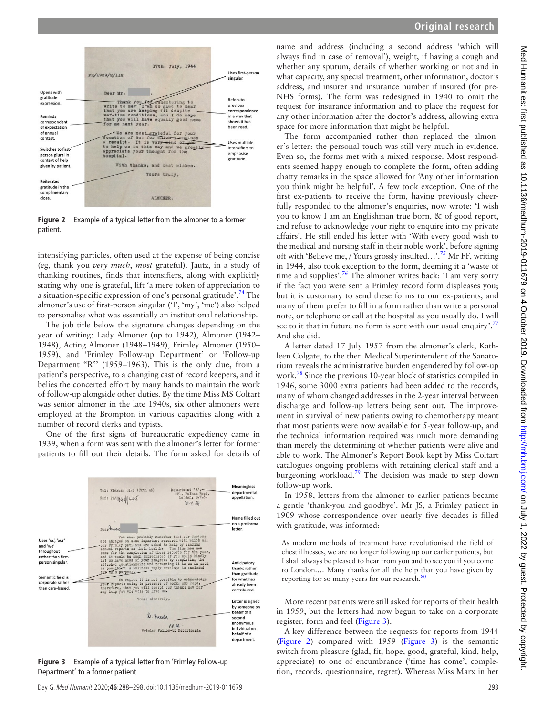

see to it that in future no form is sent with our usual enquiry'.<sup>[77](#page-8-67)</sup> And she did. A letter dated 17 July 1957 from the almoner's clerk, Kathleen Colgate, to the then Medical Superintendent of the Sanatorium reveals the administrative burden engendered by follow-up work.<sup>78</sup> Since the previous 10-year block of statistics compiled in 1946, some 3000 extra patients had been added to the records, many of whom changed addresses in the 2-year interval between discharge and follow-up letters being sent out. The improvement in survival of new patients owing to chemotherapy meant that most patients were now available for 5-year follow-up, and the technical information required was much more demanding than merely the determining of whether patients were alive and able to work. The Almoner's Report Book kept by Miss Coltart catalogues ongoing problems with retaining clerical staff and a burgeoning workload.<sup>[79](#page-8-69)</sup> The decision was made to step down follow-up work.

In 1958, letters from the almoner to earlier patients became a gentle 'thank-you and goodbye'. Mr JS, a Frimley patient in 1909 whose correspondence over nearly five decades is filled with gratitude, was informed:

As modern methods of treatment have revolutionised the field of chest illnesses, we are no longer following up our earlier patients, but I shall always be pleased to hear from you and to see you if you come to London.… Many thanks for all the help that you have given by reporting for so many years for our research.<sup>[80](#page-8-70)</sup>

More recent patients were still asked for reports of their health in 1959, but the letters had now begun to take on a corporate register, form and feel [\(Figure](#page-5-1) 3).

A key difference between the requests for reports from 1944 ([Figure](#page-5-0) 2) compared with 1959 ([Figure](#page-5-1) 3) is the semantic switch from pleasure (glad, fit, hope, good, grateful, kind, help, appreciate) to one of encumbrance ('time has come', completion, records, questionnaire, regret). Whereas Miss Marx in her

**Original research**



<span id="page-5-0"></span>**Figure 2** Example of a typical letter from the almoner to a former patient.

intensifying particles, often used at the expense of being concise (eg, thank you *very much*, *most* grateful). Jautz, in a study of thanking routines, finds that intensifiers, along with explicitly stating why one is grateful, lift 'a mere token of appreciation to a situation-specific expression of one's personal gratitude'.[74](#page-8-64) The almoner's use of first-person singular ('I', 'my', 'me') also helped to personalise what was essentially an institutional relationship.

The job title below the signature changes depending on the year of writing: Lady Almoner (up to 1942), Almoner (1942– 1948), Acting Almoner (1948–1949), Frimley Almoner (1950– 1959), and 'Frimley Follow-up Department' or 'Follow-up Department "R"' (1959–1963). This is the only clue, from a patient's perspective, to a changing cast of record keepers, and it belies the concerted effort by many hands to maintain the work of follow-up alongside other duties. By the time Miss MS Coltart was senior almoner in the late 1940s, six other almoners were employed at the Brompton in various capacities along with a number of record clerks and typists.

One of the first signs of bureaucratic expediency came in 1939, when a form was sent with the almoner's letter for former patients to fill out their details. The form asked for details of



<span id="page-5-1"></span>**Figure 3** Example of a typical letter from 'Frimley Follow-up Department' to a former patient.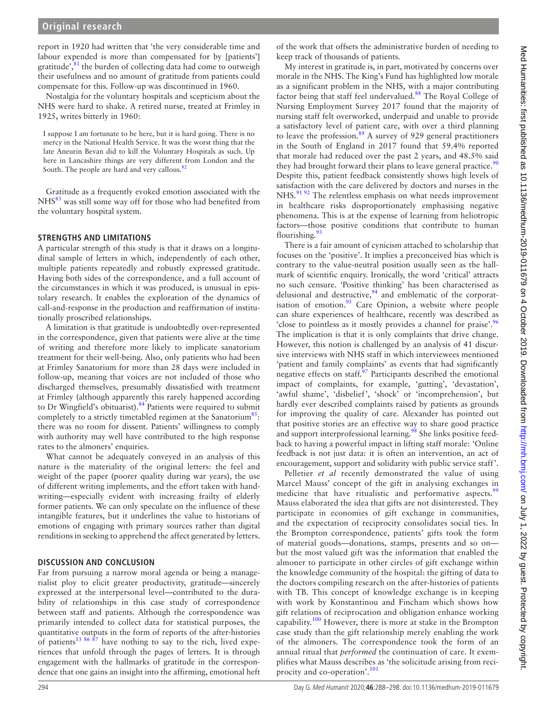## **Original research**

report in 1920 had written that 'the very considerable time and labour expended is more than compensated for by [patients'] gratitude', $81$  the burden of collecting data had come to outweigh their usefulness and no amount of gratitude from patients could compensate for this. Follow-up was discontinued in 1960.

Nostalgia for the voluntary hospitals and scepticism about the NHS were hard to shake. A retired nurse, treated at Frimley in 1925, writes bitterly in 1960:

I suppose I am fortunate to be here, but it is hard going. There is no mercy in the National Health Service. It was the worst thing that the late Aneurin Bevan did to kill the Voluntary Hospitals as such. Up here in Lancashire things are very different from London and the South. The people are hard and very callous.<sup>[82](#page-8-72)</sup>

Gratitude as a frequently evoked emotion associated with the NHS<sup>[83](#page-8-73)</sup> was still some way off for those who had benefited from the voluntary hospital system.

#### **Strengths and limitations**

A particular strength of this study is that it draws on a longitudinal sample of letters in which, independently of each other, multiple patients repeatedly and robustly expressed gratitude. Having both sides of the correspondence, and a full account of the circumstances in which it was produced, is unusual in epistolary research. It enables the exploration of the dynamics of call-and-response in the production and reaffirmation of institutionally proscribed relationships.

A limitation is that gratitude is undoubtedly over-represented in the correspondence, given that patients were alive at the time of writing and therefore more likely to implicate sanatorium treatment for their well-being. Also, only patients who had been at Frimley Sanatorium for more than 28 days were included in follow-up, meaning that voices are not included of those who discharged themselves, presumably dissatisfied with treatment at Frimley (although apparently this rarely happened according to Dr Wingfield's obituarist).<sup>84</sup> Patients were required to submit completely to a strictly timetabled regimen at the Sanatorium<sup>85</sup>: there was no room for dissent. Patients' willingness to comply with authority may well have contributed to the high response rates to the almoners' enquiries.

What cannot be adequately conveyed in an analysis of this nature is the materiality of the original letters: the feel and weight of the paper (poorer quality during war years), the use of different writing implements, and the effort taken with handwriting—especially evident with increasing frailty of elderly former patients. We can only speculate on the influence of these intangible features, but it underlines the value to historians of emotions of engaging with primary sources rather than digital renditions in seeking to apprehend the affect generated by letters.

#### **Discussion and conclusion**

Far from pursuing a narrow moral agenda or being a managerialist ploy to elicit greater productivity, gratitude—sincerely expressed at the interpersonal level—contributed to the durability of relationships in this case study of correspondence between staff and patients. Although the correspondence was primarily intended to collect data for statistical purposes, the quantitative outputs in the form of reports of the after-histories of patients<sup>13 86  $\frac{8}{7}$ </sup> have nothing to say to the rich, lived experiences that unfold through the pages of letters. It is through engagement with the hallmarks of gratitude in the correspondence that one gains an insight into the affirming, emotional heft

of the work that offsets the administrative burden of needing to keep track of thousands of patients.

My interest in gratitude is, in part, motivated by concerns over morale in the NHS. The King's Fund has highlighted low morale as a significant problem in the NHS, with a major contributing factor being that staff feel undervalued.<sup>88</sup> The Royal College of Nursing Employment Survey 2017 found that the majority of nursing staff felt overworked, underpaid and unable to provide a satisfactory level of patient care, with over a third planning to leave the profession. $89$  A survey of 929 general practitioners in the South of England in 2017 found that 59.4% reported that morale had reduced over the past 2 years, and 48.5% said they had brought forward their plans to leave general practice.<sup>[90](#page-8-78)</sup> Despite this, patient feedback consistently shows high levels of satisfaction with the care delivered by doctors and nurses in the NHS.<sup>91 92</sup> The relentless emphasis on what needs improvement in healthcare risks disproportionately emphasising negative phenomena. This is at the expense of learning from heliotropic factors—those positive conditions that contribute to human flourishing. $\frac{93}{2}$  $\frac{93}{2}$  $\frac{93}{2}$ 

There is a fair amount of cynicism attached to scholarship that focuses on the 'positive'. It implies a preconceived bias which is contrary to the value-neutral position usually seen as the hallmark of scientific enquiry. Ironically, the word 'critical' attracts no such censure. 'Positive thinking' has been characterised as delusional and destructive, $94$  and emblematic of the corporat-isation of emotion.<sup>[95](#page-9-3)</sup> Care Opinion, a website where people can share experiences of healthcare, recently was described as 'close to pointless as it mostly provides a channel for praise'.[96](#page-9-4) The implication is that it is only complaints that drive change. However, this notion is challenged by an analysis of 41 discursive interviews with NHS staff in which interviewees mentioned 'patient and family complaints' as events that had significantly negative effects on staff.<sup>[97](#page-9-5)</sup> Participants described the emotional impact of complaints, for example, 'gutting', 'devastation', 'awful shame', 'disbelief', 'shock' or 'incomprehension', but hardly ever described complaints raised by patients as grounds for improving the quality of care. Alexander has pointed out that positive stories are an effective way to share good practice and support interprofessional learning.<sup>98</sup> She links positive feedback to having a powerful impact in lifting staff morale: 'Online feedback is not just data: it is often an intervention, an act of encouragement, support and solidarity with public service staff'.

Pelletier *et al* recently demonstrated the value of using Marcel Mauss' concept of the gift in analysing exchanges in medicine that have ritualistic and performative aspects.<sup>[99](#page-9-7)</sup> Mauss elaborated the idea that gifts are not disinterested. They participate in economies of gift exchange in communities, and the expectation of reciprocity consolidates social ties. In the Brompton correspondence, patients' gifts took the form of material goods—donations, stamps, presents and so on but the most valued gift was the information that enabled the almoner to participate in other circles of gift exchange within the knowledge community of the hospital: the gifting of data to the doctors compiling research on the after-histories of patients with TB. This concept of knowledge exchange is in keeping with work by Konstantinou and Fincham which shows how gift relations of reciprocation and obligation enhance working capability.[100](#page-9-8) However, there is more at stake in the Brompton case study than the gift relationship merely enabling the work of the almoners. The correspondence took the form of an annual ritual that *performed* the continuation of care. It exemplifies what Mauss describes as 'the solicitude arising from reci-procity and co-operation'.<sup>[101](#page-9-9)</sup>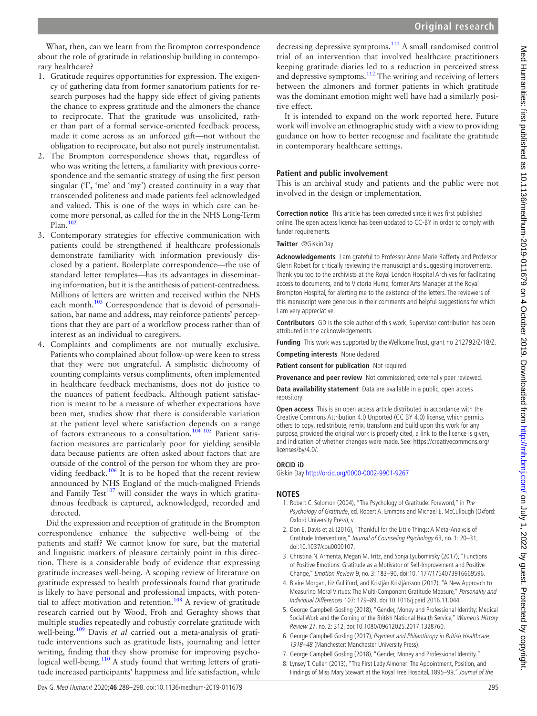What, then, can we learn from the Brompton correspondence about the role of gratitude in relationship building in contemporary healthcare?

- 1. Gratitude requires opportunities for expression. The exigency of gathering data from former sanatorium patients for research purposes had the happy side effect of giving patients the chance to express gratitude and the almoners the chance to reciprocate. That the gratitude was unsolicited, rather than part of a formal service-oriented feedback process, made it come across as an unforced gift—not without the obligation to reciprocate, but also not purely instrumentalist.
- 2. The Brompton correspondence shows that, regardless of who was writing the letters, a familiarity with previous correspondence and the semantic strategy of using the first person singular (T, 'me' and 'my') created continuity in a way that transcended politeness and made patients feel acknowledged and valued. This is one of the ways in which care can become more personal, as called for the in the NHS Long-Term Plan[.102](#page-9-10)
- 3. Contemporary strategies for effective communication with patients could be strengthened if healthcare professionals demonstrate familiarity with information previously disclosed by a patient. Boilerplate correspondence—the use of standard letter templates—has its advantages in disseminating information, but it is the antithesis of patient-centredness. Millions of letters are written and received within the NHS each month.<sup>103</sup> Correspondence that is devoid of personalisation, bar name and address, may reinforce patients' perceptions that they are part of a workflow process rather than of interest as an individual to caregivers.
- 4. Complaints and compliments are not mutually exclusive. Patients who complained about follow-up were keen to stress that they were not ungrateful. A simplistic dichotomy of counting complaints versus compliments, often implemented in healthcare feedback mechanisms, does not do justice to the nuances of patient feedback. Although patient satisfaction is meant to be a measure of whether expectations have been met, studies show that there is considerable variation at the patient level where satisfaction depends on a range of factors extraneous to a consultation.<sup>104</sup> 105 Patient satisfaction measures are particularly poor for yielding sensible data because patients are often asked about factors that are outside of the control of the person for whom they are providing feedback.<sup>106</sup> It is to be hoped that the recent review announced by NHS England of the much-maligned Friends and Family Test $107$  will consider the ways in which gratitudinous feedback is captured, acknowledged, recorded and directed.

Did the expression and reception of gratitude in the Brompton correspondence enhance the subjective well-being of the patients and staff? We cannot know for sure, but the material and linguistic markers of pleasure certainly point in this direction. There is a considerable body of evidence that expressing gratitude increases well-being. A scoping review of literature on gratitude expressed to health professionals found that gratitude is likely to have personal and professional impacts, with poten-tial to affect motivation and retention.<sup>[108](#page-9-15)</sup> A review of gratitude research carried out by Wood, Froh and Geraghty shows that multiple studies repeatedly and robustly correlate gratitude with well-being.[109](#page-9-16) Davis *et al* carried out a meta-analysis of gratitude interventions such as gratitude lists, journaling and letter writing, finding that they show promise for improving psychological well-being.<sup>110</sup> A study found that writing letters of gratitude increased participants' happiness and life satisfaction, while

decreasing depressive symptoms.<sup>[111](#page-9-18)</sup> A small randomised control trial of an intervention that involved healthcare practitioners keeping gratitude diaries led to a reduction in perceived stress and depressive symptoms.<sup>[112](#page-9-19)</sup> The writing and receiving of letters between the almoners and former patients in which gratitude was the dominant emotion might well have had a similarly positive effect.

It is intended to expand on the work reported here. Future work will involve an ethnographic study with a view to providing guidance on how to better recognise and facilitate the gratitude in contemporary healthcare settings.

### **Patient and public involvement**

This is an archival study and patients and the public were not involved in the design or implementation.

**Correction notice** This article has been corrected since it was first published online. The open access licence has been updated to CC-BY in order to comply with funder requirements.

**Twitter** @GiskinDay

**Acknowledgements** I am grateful to Professor Anne Marie Rafferty and Professor Glenn Robert for critically reviewing the manuscript and suggesting improvements. Thank you too to the archivists at the Royal London Hospital Archives for facilitating access to documents, and to Victoria Hume, former Arts Manager at the Royal Brompton Hospital, for alerting me to the existence of the letters. The reviewers of this manuscript were generous in their comments and helpful suggestions for which I am very appreciative.

**Contributors** GD is the sole author of this work. Supervisor contribution has been attributed in the acknowledgements.

**Funding** This work was supported by the Wellcome Trust, grant no 212792/Z/18/Z.

**Competing interests** None declared.

**Patient consent for publication** Not required.

**Provenance and peer review** Not commissioned; externally peer reviewed.

**Data availability statement** Data are available in a public, open access repository.

**Open access** This is an open access article distributed in accordance with the Creative Commons Attribution 4.0 Unported (CC BY 4.0) license, which permits others to copy, redistribute, remix, transform and build upon this work for any purpose, provided the original work is properly cited, a link to the licence is given, and indication of whether changes were made. See: [https://creativecommons.org/](https://creativecommons.org/licenses/by/4.0/) [licenses/by/4.0/.](https://creativecommons.org/licenses/by/4.0/)

#### **ORCID iD**

Giskin Day<http://orcid.org/0000-0002-9901-9267>

#### **Notes**

- <span id="page-7-0"></span>1. [Robert C. Solomon \(2004\)](#page-10-0), "The Psychology of Gratitude: Foreword," in The Psychology of Gratitude, ed. Robert A. Emmons and Michael E. McCullough (Oxford: Oxford University Press), v.
- <span id="page-7-1"></span>2. [Don E. Davis et al. \(2016\),](#page-9-20) "Thankful for the Little Things: A Meta-Analysis of Gratitude Interventions," Journal of Counseling Psychology 63, no. 1: 20–31, doi:10.1037/cou0000107.
- 3. [Christina N. Armenta, Megan M. Fritz, and Sonja Lyubomirsky \(2017\),](#page-9-21) "Functions of Positive Emotions: Gratitude as a Motivator of Self-Improvement and Positive Change," Emotion Review 9, no. 3: 183–90, doi:10.1177/1754073916669596.
- 4. [Blaire Morgan, Liz Gulliford, and Kristján Kristjánsson \(2017\)](#page-10-1), "A New Approach to Measuring Moral Virtues: The Multi-Component Gratitude Measure," Personality and Individual Differences 107: 179–89, doi:10.1016/j.paid.2016.11.044.
- <span id="page-7-2"></span>5. [George Campbell Gosling \(2018\),](#page-9-22) "Gender, Money and Professional Identity: Medical Social Work and the Coming of the British National Health Service," Women's History Review 27, no. 2: 312, doi:10.1080/09612025.2017.1328760.
- <span id="page-7-3"></span>6. [George Campbell Gosling \(2017\),](#page-9-23) Payment and Philanthropy in British Healthcare, 1918–48 (Manchester: Manchester University Press).
- 7. [George Campbell Gosling \(2018\),](#page-9-22) "Gender, Money and Professional Identity."
- <span id="page-7-4"></span>8. [Lynsey T. Cullen \(2013\),](#page-9-24) "The First Lady Almoner: The Appointment, Position, and Findings of Miss Mary Stewart at the Royal Free Hospital, 1895–99," Journal of the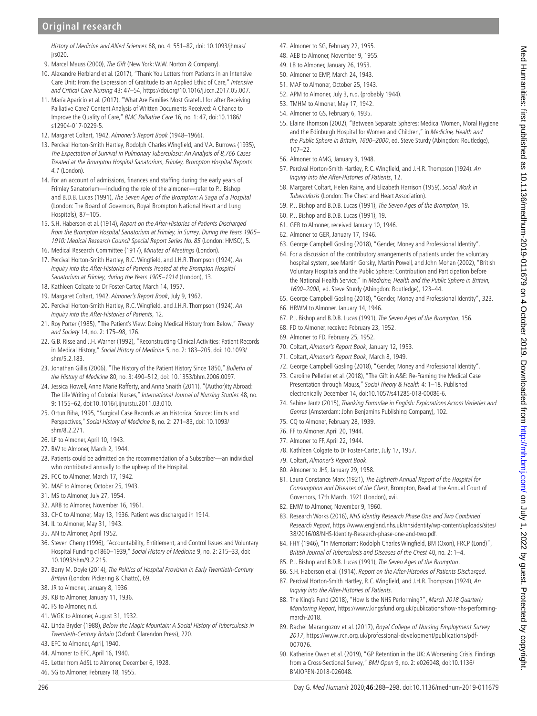History of Medicine and Allied Sciences 68, no. 4: 551–82, doi: 10.1093/jhmas/ jrs020.

- <span id="page-8-1"></span><span id="page-8-0"></span>9. [Marcel Mauss \(2000\),](#page-10-2) The Gift (New York: W.W. Norton & Company).
- 10. [Alexandre Herbland et al. \(2017\),](#page-9-25) "Thank You Letters from Patients in an Intensive Care Unit: From the Expression of Gratitude to an Applied Ethic of Care," Intensive and Critical Care Nursing 43: 47–54, [https://doi.org/10.1016/j.iccn.2017.05.007.](https://doi.org/10.1016/j.iccn.2017.05.007)
- <span id="page-8-2"></span>11. [María Aparicio et al. \(2017\)](#page-9-26), "What Are Families Most Grateful for after Receiving Palliative Care? Content Analysis of Written Documents Received: A Chance to Improve the Quality of Care," BMC Palliative Care 16, no. 1: 47, doi:10.1186/ s12904-017-0229-5.
- <span id="page-8-3"></span>12. [Margaret Coltart, 1942](#page-9-27), Almoner's Report Book (1948–1966).
- <span id="page-8-4"></span>13. [Percival Horton-Smith Hartley, Rodolph Charles Wingfield, and V.A. Burrows \(1935\),](#page-9-28) The Expectation of Survival in Pulmonary Tuberculosis: An Analysis of 8,766 Cases Treated at the Brompton Hospital Sanatorium, Frimley, Brompton Hospital Reports 4.1 (London).
- <span id="page-8-5"></span>14. For an account of admissions, finances and staffing during the early years of Frimley Sanatorium—including the role of the almoner—refer to [P.J Bishop](#page-9-29)  [and B.D.B. Lucas \(1991\),](#page-9-29) The Seven Ages of the Brompton: A Saga of a Hospital (London: The Board of Governors, Royal Brompton National Heart and Lung Hospitals), 87–105.
- <span id="page-8-6"></span>15. [S.H. Haberson et al. \(1914\),](#page-9-30) Report on the After-Histories of Patients Discharged from the Brompton Hospital Sanatorium at Frimley, in Surrey, During the Years 1905– 1910: Medical Research Council Special Report Series No. 85 (London: HMSO), 5.
- <span id="page-8-7"></span>16. [Medical Research Committee \(1917\)](#page-10-3), Minutes of Meetings (London).
- <span id="page-8-8"></span>17. [Percival Horton-Smith Hartley, R.C. Wingfield, and J.H.R. Thompson \(1924\)](#page-9-31), An Inquiry into the After-Histories of Patients Treated at the Brompton Hospital Sanatorium at Frimley, during the Years 1905-1914 (London), 13.
- <span id="page-8-9"></span>18. Kathleen Colgate to Dr Foster-Carter, March 14, 1957.
- <span id="page-8-10"></span>19. [Margaret Coltart, 1942](#page-9-27), Almoner's Report Book, July 9, 1962.
- <span id="page-8-11"></span>20. [Percival Horton-Smith Hartley, R.C. Wingfield, and J.H.R. Thompson \(1924\)](#page-9-31), An Inquiry into the After-Histories of Patients, 12.
- <span id="page-8-12"></span>21. [Roy Porter \(1985\)](#page-10-4), "The Patient's View: Doing Medical History from Below," Theory and Society 14, no. 2: 175–98, 176.
- <span id="page-8-13"></span>22. [G.B. Risse and J.H. Warner \(1992\)](#page-10-5), "Reconstructing Clinical Activities: Patient Records in Medical History," Social History of Medicine 5, no. 2: 183–205, doi: 10.1093/ shm/5.2.183.
- 23. [Jonathan Gillis \(2006\),](#page-9-32) "The History of the Patient History Since 1850." Bulletin of the History of Medicine 80, no. 3: 490–512, doi: 10.1353/bhm.2006.0097.
- <span id="page-8-14"></span>24. [Jessica Howell, Anne Marie Rafferty, and Anna Snaith \(2011\)](#page-9-33), "(Author)Ity Abroad: The Life Writing of Colonial Nurses," International Journal of Nursing Studies 48, no. 9: 1155–62, doi:10.1016/j.ijnurstu.2011.03.010.
- <span id="page-8-15"></span>25. [Ortun Riha, 1995](#page-10-6), "Surgical Case Records as an Historical Source: Limits and Perspectives," Social History of Medicine 8, no. 2: 271–83, doi: 10.1093/ shm/8.2.271.
- <span id="page-8-16"></span>26. LF to Almoner, April 10, 1943.
- <span id="page-8-17"></span>27. BW to Almoner, March 2, 1944.
- <span id="page-8-18"></span>28. Patients could be admitted on the recommendation of a Subscriber—an individual who contributed annually to the upkeep of the Hospital.
- <span id="page-8-19"></span>29. FCC to Almoner, March 17, 1942.
- <span id="page-8-20"></span>30. MAF to Almoner, October 25, 1943.
- <span id="page-8-21"></span>31. MS to Almoner, July 27, 1954.
- <span id="page-8-22"></span>32. ARB to Almoner, November 16, 1961.
- <span id="page-8-23"></span>33. CHC to Almoner, May 13, 1936. Patient was discharged in 1914.
- <span id="page-8-24"></span>34. IL to Almoner, May 31, 1943.
- <span id="page-8-25"></span>35. AN to Almoner, April 1952.
- <span id="page-8-26"></span>36. [Steven Cherry \(1996\),](#page-9-34) "Accountability, Entitlement, and Control Issues and Voluntary Hospital Funding c1860–1939," Social History of Medicine 9, no. 2: 215–33, doi: 10.1093/shm/9.2.215.
- <span id="page-8-27"></span>37. [Barry M. Doyle \(2014\),](#page-9-35) The Politics of Hospital Provision in Early Twentieth-Century Britain (London: Pickering & Chatto), 69.
- <span id="page-8-28"></span>38. JR to Almoner, January 8, 1936.
- <span id="page-8-29"></span>39. KB to Almoner, January 11, 1936.
- <span id="page-8-30"></span>40. FS to Almoner, n.d.
- <span id="page-8-31"></span>41. WGK to Almoner, August 31, 1932.
- <span id="page-8-32"></span>42. [Linda Bryder \(1988\),](#page-9-36) Below the Magic Mountain: A Social History of Tuberculosis in Twentieth-Century Britain (Oxford: Clarendon Press), 220.
- <span id="page-8-33"></span>43. EFC to Almoner, April, 1940.
- <span id="page-8-34"></span>44. Almoner to EFC, April 16, 1940.
- <span id="page-8-35"></span>45. Letter from AdSL to Almoner, December 6, 1928.
- <span id="page-8-36"></span>46. SG to Almoner, February 18, 1955.
- <span id="page-8-37"></span>47. Almoner to SG, February 22, 1955.
- <span id="page-8-38"></span>48. AEB to Almoner, November 9, 1955.
- <span id="page-8-39"></span>49. LB to Almoner, January 26, 1953.
- <span id="page-8-40"></span>50. Almoner to EMP, March 24, 1943.
- <span id="page-8-41"></span>51. MAF to Almoner, October 25, 1943.
- <span id="page-8-42"></span>52. APM to Almoner, July 3, n.d. (probably 1944).
- <span id="page-8-43"></span>53. TMHM to Almoner, May 17, 1942. 54. Almoner to GS, February 6, 1935.
- <span id="page-8-45"></span><span id="page-8-44"></span>55. [Elaine Thomson \(2002\)](#page-10-7), "Between Separate Spheres: Medical Women, Moral Hygiene and the Edinburgh Hospital for Women and Children," in Medicine, Health and the Public Sphere in Britain, 1600–2000, ed. Steve Sturdy (Abingdon: Routledge), 107–22.
- <span id="page-8-46"></span>56. Almoner to AMG, January 3, 1948.
- <span id="page-8-47"></span>57. [Percival Horton-Smith Hartley, R.C. Wingfield, and J.H.R. Thompson \(1924\).](#page-9-31) An Inquiry into the After-Histories of Patients, 12.
- <span id="page-8-48"></span>58. [Margaret Coltart, Helen Raine, and Elizabeth Harrison \(1959\),](#page-9-37) Social Work in Tuberculosis (London: The Chest and Heart Association).
- <span id="page-8-49"></span>59. [P.J. Bishop and B.D.B. Lucas \(1991\)](#page-9-29), The Seven Ages of the Brompton, 19.
- <span id="page-8-50"></span>60. [P.J. Bishop and B.D.B. Lucas \(1991\)](#page-9-29), 19.
- <span id="page-8-51"></span>61. GER to Almoner, received January 10, 1946.
- <span id="page-8-52"></span>62. Almoner to GER, January 17, 1946.
- <span id="page-8-53"></span>63. [George Campbell Gosling \(2018\),](#page-9-22) "Gender, Money and Professional Identity".
- <span id="page-8-54"></span>64. For a discussion of the contributory arrangements of patients under the voluntary hospital system, see [Martin Gorsky, Martin Powell, and John Mohan \(2002\),](#page-9-38) "British Voluntary Hospitals and the Public Sphere: Contribution and Participation before the National Health Service," in Medicine, Health and the Public Sphere in Britain, 1600–2000, ed. Steve Sturdy (Abingdon: Routledge), 123–44.
- <span id="page-8-55"></span>65. [George Campbell Gosling \(2018\),](#page-9-22) "Gender, Money and Professional Identity", 323.
- <span id="page-8-56"></span>66. HRWM to Almoner, January 14, 1946.
- <span id="page-8-57"></span>67. [P.J. Bishop and B.D.B. Lucas \(1991\)](#page-9-29), The Seven Ages of the Brompton, 156.
- <span id="page-8-58"></span>68. FD to Almoner, received February 23, 1952.
- <span id="page-8-59"></span>69. Almoner to FD, February 25, 1952.
- <span id="page-8-60"></span>70. Coltart, Almoner's Report Book, January 12, 1953.
- <span id="page-8-61"></span>71. Coltart, Almoner's Report Book, March 8, 1949.
- <span id="page-8-62"></span>72. [George Campbell Gosling \(2018\),](#page-9-22) "Gender, Money and Professional Identity".
- <span id="page-8-63"></span>73. [Caroline Pelletier et al. \(2018\)](#page-10-8), "The Gift in A&E: Re-Framing the Medical Case Presentation through Mauss," Social Theory & Health 4: 1-18. Published electronically December 14, doi:10.1057/s41285-018-00086-6.
- <span id="page-8-64"></span>74. [Sabine Jautz \(2015\),](#page-9-39) Thanking Formulae in English: Explorations Across Varieties and Genres (Amsterdam: John Benjamins Publishing Company), 102.
- <span id="page-8-65"></span>75. CQ to Almoner, February 28, 1939.
- <span id="page-8-66"></span>76. FF to Almoner, April 20, 1944.
- <span id="page-8-67"></span>77. Almoner to FF, April 22, 1944.
- <span id="page-8-68"></span>78. Kathleen Colgate to Dr Foster-Carter, July 17, 1957.
- <span id="page-8-69"></span>79. Coltart, Almoner's Report Book.
- <span id="page-8-70"></span>80. Almoner to JHS, January 29, 1958.
- <span id="page-8-71"></span>81. [Laura Constance Marx \(1921\),](#page-10-9) The Eightieth Annual Report of the Hospital for Consumption and Diseases of the Chest, Brompton, Read at the Annual Court of Governors, 17th March, 1921 (London), xvii.
- <span id="page-8-72"></span>82. EMW to Almoner, November 9, 1960.
- <span id="page-8-73"></span>83. [Research Works \(2016\),](#page-10-10) NHS Identity Research Phase One and Two Combined Research Report, [https://www.england.nhs.uk/nhsidentity/wp-content/uploads/sites/](https://www.england.nhs.uk/nhsidentity/wp-content/uploads/sites/38/2016/08/NHS-Identity-Research-phase-one-and-two.pdf) [38/2016/08/NHS-Identity-Research-phase-one-and-two.pdf](https://www.england.nhs.uk/nhsidentity/wp-content/uploads/sites/38/2016/08/NHS-Identity-Research-phase-one-and-two.pdf).
- <span id="page-8-74"></span>84. [FHY \(1946\),](#page-9-40) "In Memoriam: Rodolph Charles Wingfield, BM (Oxon), FRCP (Lond)", British Journal of Tuberculosis and Diseases of the Chest 40, no. 2: 1–4.
- <span id="page-8-75"></span>85. [P.J. Bishop and B.D.B. Lucas \(1991\)](#page-9-29), The Seven Ages of the Brompton.
- 86. [S.H. Haberson et al. \(1914\),](#page-9-30) Report on the After-Histories of Patients Discharged.
- 87. [Percival Horton-Smith Hartley, R.C. Wingfield, and J.H.R. Thompson \(1924\),](#page-9-31) An Inquiry into the After-Histories of Patients.
- <span id="page-8-76"></span>88. [The King's Fund \(2018\),](#page-10-11) "How Is the NHS Performing?", March 2018 Quarterly Monitoring Report, [https://www.kingsfund.org.uk/publications/how-nhs-performing](https://www.kingsfund.org.uk/publications/how-nhs-performing-march-2018)[march-2018](https://www.kingsfund.org.uk/publications/how-nhs-performing-march-2018).
- <span id="page-8-77"></span>89. [Rachel Marangozov et al. \(2017\),](#page-10-12) Royal College of Nursing Employment Survey 2017, [https://www.rcn.org.uk/professional-development/publications/pdf-](https://www.rcn.org.uk/professional-development/publications/pdf-007076)[007076.](https://www.rcn.org.uk/professional-development/publications/pdf-007076)
- <span id="page-8-78"></span>90. [Katherine Owen et al. \(2019\)](#page-10-13), "GP Retention in the UK: A Worsening Crisis. Findings from a Cross-Sectional Survey," BMJ Open 9, no. 2: e026048, doi:10.1136/ BMJOPEN-2018-026048.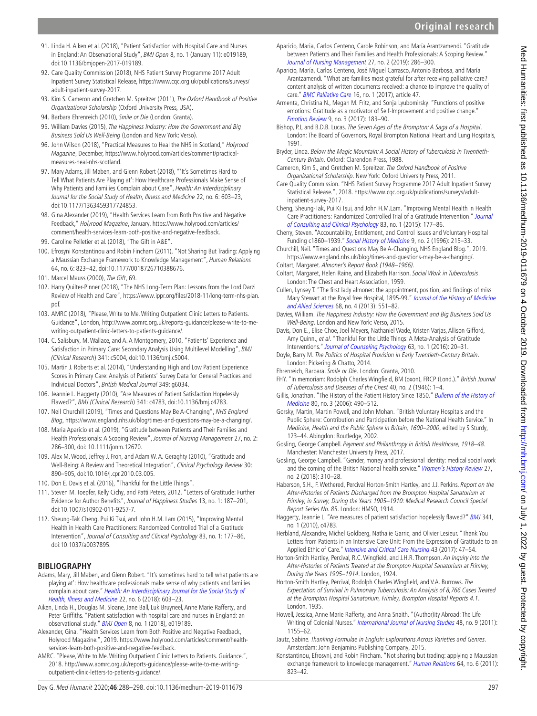- <span id="page-9-0"></span>91. [Linda H. Aiken et al. \(2018\),](#page-9-41) "Patient Satisfaction with Hospital Care and Nurses in England: An Observational Study", BMJ Open 8, no. 1 (January 11): e019189, doi:10.1136/bmjopen-2017-019189.
- 92. [Care Quality Commission \(2018\),](#page-9-42) NHS Patient Survey Programme 2017 Adult Inpatient Survey Statistical Release, [https://www.cqc.org.uk/publications/surveys/](https://www.cqc.org.uk/publications/surveys/adult-inpatient-survey-2017) [adult-inpatient-survey-2017](https://www.cqc.org.uk/publications/surveys/adult-inpatient-survey-2017).
- <span id="page-9-1"></span>93. [Kim S. Cameron and Gretchen M. Spreitzer \(2011\)](#page-9-43), The Oxford Handbook of Positive Organizational Scholarship (Oxford University Press, USA).
- <span id="page-9-2"></span>94. [Barbara Ehrenreich \(2010\),](#page-9-44) Smile or Die (London: Granta).
- <span id="page-9-3"></span>95. [William Davies \(2015\)](#page-9-45), The Happiness Industry: How the Government and Big Business Sold Us Well-Being (London and New York: Verso).
- <span id="page-9-4"></span>96. [John Wilson \(2018\),](#page-10-14) "Practical Measures to Heal the NHS in Scotland," Holyrood Magazine, December, [https://www.holyrood.com/articles/comment/practical](https://www.holyrood.com/articles/comment/practical-measures-heal-nhs-scotland)[measures-heal-nhs-scotland](https://www.holyrood.com/articles/comment/practical-measures-heal-nhs-scotland).
- <span id="page-9-5"></span>97. [Mary Adams, Jill Maben, and Glenn Robert \(2018\)](#page-9-46), "'It's Sometimes Hard to Tell What Patients Are Playing at': How Healthcare Professionals Make Sense of Why Patients and Families Complain about Care", Health: An Interdisciplinary Journal for the Social Study of Health, Illness and Medicine 22, no. 6: 603–23, doi:10.1177/1363459317724853.
- <span id="page-9-6"></span>98. [Gina Alexander \(2019\),](#page-9-47) "Health Services Learn from Both Positive and Negative Feedback," Holyrood Magazine, January, [https://www.holyrood.com/articles/](https://www.holyrood.com/articles/comment/health-services-learn-both-positive-and-negative-feedback) [comment/health-services-learn-both-positive-and-negative-feedback.](https://www.holyrood.com/articles/comment/health-services-learn-both-positive-and-negative-feedback)
- <span id="page-9-8"></span><span id="page-9-7"></span>99. [Caroline Pelletier et al. \(2018\),](#page-10-8) "The Gift in A&E".
- 100. [Efrosyni Konstantinou and Robin Fincham \(2011\)](#page-9-48), "Not Sharing But Trading: Applying a Maussian Exchange Framework to Knowledge Management", Human Relations 64, no. 6: 823–42, doi:10.1177/0018726710388676.
- <span id="page-9-9"></span>101. [Marcel Mauss \(2000\),](#page-10-2) The Gift, 69.
- <span id="page-9-10"></span>102. [Harry Quilter-Pinner \(2018\),](#page-10-15) "The NHS Long-Term Plan: Lessons from the Lord Darzi Review of Health and Care", [https://www.ippr.org/files/2018-11/long-term-nhs-plan.](https://www.ippr.org/files/2018-11/long-term-nhs-plan.pdf) [pdf](https://www.ippr.org/files/2018-11/long-term-nhs-plan.pdf).
- <span id="page-9-11"></span>103. [AMRC \(2018\),](#page-9-49) "Please, Write to Me. Writing Outpatient Clinic Letters to Patients. Guidance", London, [http://www.aomrc.org.uk/reports-guidance/please-write-to-me](http://www.aomrc.org.uk/reports-guidance/please-write-to-me-writing-outpatient-clinic-letters-to-patients-guidance/)[writing-outpatient-clinic-letters-to-patients-guidance/](http://www.aomrc.org.uk/reports-guidance/please-write-to-me-writing-outpatient-clinic-letters-to-patients-guidance/).
- <span id="page-9-12"></span>104. [C. Salisbury, M. Wallace, and A. A Montgomery, 2010](#page-10-16), "Patients' Experience and Satisfaction in Primary Care: Secondary Analysis Using Multilevel Modelling", BMJ (Clinical Research) 341: c5004, doi:10.1136/bmj.c5004.
- 105. [Martin J. Roberts et al. \(2014\),](#page-10-17) "Understanding High and Low Patient Experience Scores in Primary Care: Analysis of Patients' Survey Data for General Practices and Individual Doctors", British Medical Journal 349: g6034.
- <span id="page-9-13"></span>106. [Jeannie L. Haggerty \(2010\)](#page-9-50), "Are Measures of Patient Satisfaction Hopelessly Flawed?", BMJ (Clinical Research) 341: c4783, doi:10.1136/bmj.c4783.
- <span id="page-9-14"></span>107. [Neil Churchill \(2019\)](#page-9-51), "Times and Questions May Be A-Changing", NHS England Blog, <https://www.england.nhs.uk/blog/times-and-questions-may-be-a-changing/>.
- <span id="page-9-15"></span>108. [Maria Aparicio et al. \(2019\)](#page-9-52), "Gratitude between Patients and Their Families and Health Professionals: A Scoping Review", Journal of Nursing Management 27, no. 2: 286–300, doi: 10.1111/jonm.12670.
- <span id="page-9-16"></span>109. [Alex M. Wood, Jeffrey J. Froh, and Adam W. A. Geraghty \(2010\),](#page-10-18) "Gratitude and Well-Being: A Review and Theoretical Integration", Clinical Psychology Review 30: 890–905, doi:10.1016/j.cpr.2010.03.005.
- <span id="page-9-17"></span>110. [Don E. Davis et al. \(2016\),](#page-9-20) "Thankful for the Little Things".
- <span id="page-9-18"></span>111. [Steven M. Toepfer, Kelly Cichy, and Patti Peters, 2012](#page-10-19), "Letters of Gratitude: Further Evidence for Author Benefits", Journal of Happiness Studies 13, no. 1: 187–201, doi:10.1007/s10902-011-9257-7.
- <span id="page-9-19"></span>112. [Sheung-Tak Cheng, Pui Ki Tsui, and John H.M. Lam \(2015\),](#page-9-53) "Improving Mental Health in Health Care Practitioners: Randomized Controlled Trial of a Gratitude Intervention", Journal of Consulting and Clinical Psychology 83, no. 1: 177–86, doi:10.1037/a0037895.

#### **Bibliography**

- <span id="page-9-46"></span>Adams, Mary, Jill Maben, and Glenn Robert. "It's sometimes hard to tell what patients are playing at': How healthcare professionals make sense of why patients and families complain about care." [Health: An Interdisciplinary Journal for the Social Study of](http://dx.doi.org/10.1177/1363459317724853)  [Health, Illness and Medicine](http://dx.doi.org/10.1177/1363459317724853) 22, no. 6 (2018): 603–23.
- <span id="page-9-41"></span>Aiken, Linda H., Douglas M. Sloane, Jane Ball, Luk Bruyneel, Anne Marie Rafferty, and Peter Griffiths. "Patient satisfaction with hospital care and nurses in England: an observational study." [BMJ Open](http://dx.doi.org/10.1136/bmjopen-2017-019189) 8, no. 1 (2018), e019189
- <span id="page-9-47"></span>Alexander, Gina. "Health Services Learn from Both Positive and Negative Feedback, Holyrood Magazine.", 2019. [https://www.holyrood.com/articles/comment/health](https://www.holyrood.com/articles/comment/health-services-learn-both-positive-and-negative-feedback)[services-learn-both-positive-and-negative-feedback](https://www.holyrood.com/articles/comment/health-services-learn-both-positive-and-negative-feedback).
- <span id="page-9-49"></span>AMRC. "Please, Write to Me. Writing Outpatient Clinic Letters to Patients. Guidance.", 2018. [http://www.aomrc.org.uk/reports-guidance/please-write-to-me-writing](http://www.aomrc.org.uk/reports-guidance/please-write-to-me-writing-outpatient-clinic-letters-to-patients-guidance/)[outpatient-clinic-letters-to-patients-guidance/.](http://www.aomrc.org.uk/reports-guidance/please-write-to-me-writing-outpatient-clinic-letters-to-patients-guidance/)
- <span id="page-9-52"></span>Aparicio, Maria, Carlos Centeno, Carole Robinson, and María Arantzamendi. "Gratitude between Patients and Their Families and Health Professionals: A Scoping Review." [Journal of Nursing Management](http://dx.doi.org/10.1111/jonm.12670) 27, no. 2 (2019): 286–300.
- <span id="page-9-26"></span>Aparicio, María, Carlos Centeno, José Miguel Carrasco, Antonio Barbosa, and María Arantzamendi. "What are families most grateful for after receiving palliative care? content analysis of written documents received: a chance to improve the quality of care." [BMC Palliative Care](http://dx.doi.org/10.1186/s12904-017-0229-5) 16, no. 1 (2017), article 47.
- <span id="page-9-21"></span>Armenta, Christina N., Megan M. Fritz, and Sonja Lyubomirsky. "Functions of positive emotions: Gratitude as a motivator of Self-Improvement and positive change." [Emotion Review](http://dx.doi.org/10.1177/1754073916669596) 9, no. 3 (2017): 183–90.
- <span id="page-9-29"></span>Bishop, P.J, and B.D.B. Lucas. The Seven Ages of the Brompton: A Saga of a Hospital. London: The Board of Governors, Royal Brompton National Heart and Lung Hospitals, 1991.
- <span id="page-9-36"></span>Bryder, Linda. Below the Magic Mountain: A Social History of Tuberculosis in Twentieth-Century Britain. Oxford: Clarendon Press, 1988.
- <span id="page-9-43"></span>Cameron, Kim S., and Gretchen M. Spreitzer. The Oxford Handbook of Positive Organizational Scholarship. New York: Oxford University Press, 2011.
- <span id="page-9-42"></span>Care Quality Commission. "NHS Patient Survey Programme 2017 Adult Inpatient Survey Statistical Release.", 2018. [https://www.cqc.org.uk/publications/surveys/adult](https://www.cqc.org.uk/publications/surveys/adult-inpatient-survey-2017)[inpatient-survey-2017.](https://www.cqc.org.uk/publications/surveys/adult-inpatient-survey-2017)
- <span id="page-9-53"></span>Cheng, Sheung-Tak, Pui Ki Tsui, and John H.M.Lam. "Improving Mental Health in Health Care Practitioners: Randomized Controlled Trial of a Gratitude Intervention." [Journal](http://dx.doi.org/10.1037/a0037895)  [of Consulting and Clinical Psychology](http://dx.doi.org/10.1037/a0037895) 83, no. 1 (2015): 177–86.

<span id="page-9-34"></span>Cherry, Steven. "Accountability, Entitlement, and Control Issues and Voluntary Hospital Funding c1860–1939." [Social History of Medicine](http://dx.doi.org/10.1093/shm/9.2.215) 9, no. 2 (1996): 215–33.

- <span id="page-9-51"></span>Churchill, Neil. "Times and Questions May Be A-Changing, NHS England Blog.", 2019. <https://www.england.nhs.uk/blog/times-and-questions-may-be-a-changing/>.
- <span id="page-9-37"></span><span id="page-9-27"></span>Coltart, Margaret. Almoner's Report Book (1948–1966). Coltart, Margaret, Helen Raine, and Elizabeth Harrison. Social Work in Tuberculosis. London: The Chest and Heart Association, 1959.
- <span id="page-9-24"></span>Cullen, Lynsey T. "The first lady almoner: the appointment, position, and findings of miss Mary Stewart at the Royal free Hospital, 1895-99." [Journal of the History of Medicine](http://dx.doi.org/10.1093/jhmas/jrs020)  [and Allied Sciences](http://dx.doi.org/10.1093/jhmas/jrs020) 68, no. 4 (2013): 551–82.
- <span id="page-9-45"></span>Davies, William. The Happiness Industry: How the Government and Big Business Sold Us Well-Being. London and New York: Verso, 2015.
- <span id="page-9-20"></span>Davis, Don E., Elise Choe, Joel Meyers, Nathaniel Wade, Kristen Varjas, Allison Gifford, Amy Quinn., et al. "Thankful For the Little Things: A Meta-Analysis of Gratitude Interventions." [Journal of Counseling Psychology](http://dx.doi.org/10.1037/cou0000107) 63, no. 1 (2016): 20-31.
- <span id="page-9-35"></span>Doyle, Barry M. The Politics of Hospital Provision in Early Twentieth-Century Britain. London: Pickering & Chatto, 2014.

<span id="page-9-44"></span>Ehrenreich, Barbara. Smile or Die. London: Granta, 2010.

- <span id="page-9-40"></span>FHY. "In memoriam: Rodolph Charles Wingfield, BM (oxon), FRCP (Lond.)." British Journal of Tuberculosis and Diseases of the Chest 40, no. 2 (1946): 1–4.
- <span id="page-9-32"></span>Gillis, Jonathan. "The History of the Patient History Since 1850." Bulletin of the History of [Medicine](http://dx.doi.org/10.1353/bhm.2006.0097) 80, no. 3 (2006): 490–512.
- <span id="page-9-38"></span>Gorsky, Martin, Martin Powell, and John Mohan. "British Voluntary Hospitals and the Public Sphere: Contribution and Participation before the National Health Service." In Medicine, Health and the Public Sphere in Britain, 1600–2000, edited by S Sturdy, 123–44. Abingdon: Routledge, 2002.
- <span id="page-9-23"></span>Gosling, George Campbell. Payment and Philanthropy in British Healthcare, 1918–48. Manchester: Manchester University Press, 2017.
- <span id="page-9-22"></span>Gosling, George Campbell. "Gender, money and professional identity: medical social work and the coming of the British National health service." [Women's History Review](http://dx.doi.org/10.1080/09612025.2017.1328760) 27, no. 2 (2018): 310–28.
- <span id="page-9-30"></span>Haberson, S.H., F. Wethered, Percival Horton-Smith Hartley, and J.J. Perkins. Report on the After-Histories of Patients Discharged from the Brompton Hospital Sanatorium at Frimley, in Surrey, During the Years 1905–1910: Medical Research Council Special Report Series No. 85. London: HMSO, 1914.
- <span id="page-9-50"></span>Haggerty, Jeannie L. "Are measures of patient satisfaction hopelessly flawed?" [BMJ](http://dx.doi.org/10.1136/bmj.c4783) 341, no. 1 (2010), c4783.
- <span id="page-9-25"></span>Herbland, Alexandre, Michel Goldberg, Nathalie Garric, and Olivier Lesieur. "Thank You Letters from Patients in an Intensive Care Unit: From the Expression of Gratitude to an Applied Ethic of Care." [Intensive and Critical Care Nursing](http://dx.doi.org/10.1016/j.iccn.2017.05.007) 43 (2017): 47-54.
- <span id="page-9-31"></span>Horton-Smith Hartley, Percival, R.C. Wingfield, and J.H.R. Thompson. An Inquiry into the After-Histories of Patients Treated at the Brompton Hospital Sanatorium at Frimley, During the Years 1905–1914. London, 1924.
- <span id="page-9-28"></span>Horton-Smith Hartley, Percival, Rodolph Charles Wingfield, and V.A. Burrows. The Expectation of Survival in Pulmonary Tuberculosis: An Analysis of 8,766 Cases Treated at the Brompton Hospital Sanatorium, Frimley, Brompton Hospital Reports 4.1. London, 1935.
- <span id="page-9-33"></span>Howell, Jessica, Anne Marie Rafferty, and Anna Snaith. "(Author)ity Abroad: The Life Writing of Colonial Nurses." [International Journal of Nursing Studies](http://dx.doi.org/10.1016/j.ijnurstu.2011.03.010) 48, no. 9 (2011): 1155–62.
- <span id="page-9-39"></span>Jautz, Sabine. Thanking Formulae in English: Explorations Across Varieties and Genres. Amsterdam: John Benjamins Publishing Company, 2015.
- <span id="page-9-48"></span>Konstantinou, Efrosyni, and Robin Fincham. "Not sharing but trading: applying a Maussian exchange framework to knowledge management." [Human Relations](http://dx.doi.org/10.1177/0018726710388676) 64, no. 6 (2011): 823–42.